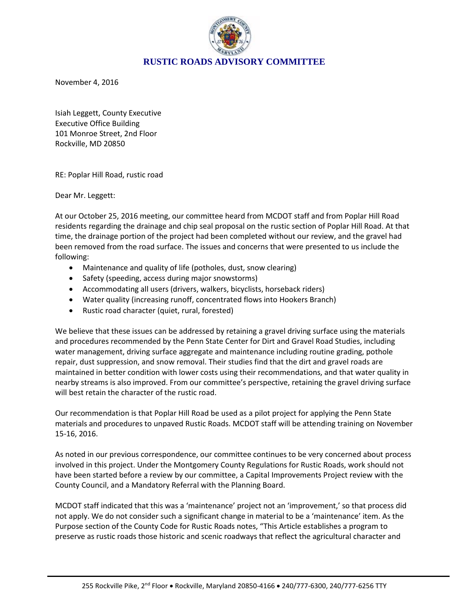

November 4, 2016

Isiah Leggett, County Executive Executive Office Building 101 Monroe Street, 2nd Floor Rockville, MD 20850

RE: Poplar Hill Road, rustic road

Dear Mr. Leggett:

At our October 25, 2016 meeting, our committee heard from MCDOT staff and from Poplar Hill Road residents regarding the drainage and chip seal proposal on the rustic section of Poplar Hill Road. At that time, the drainage portion of the project had been completed without our review, and the gravel had been removed from the road surface. The issues and concerns that were presented to us include the following:

- Maintenance and quality of life (potholes, dust, snow clearing)
- Safety (speeding, access during major snowstorms)
- Accommodating all users (drivers, walkers, bicyclists, horseback riders)
- Water quality (increasing runoff, concentrated flows into Hookers Branch)
- Rustic road character (quiet, rural, forested)

We believe that these issues can be addressed by retaining a gravel driving surface using the materials and procedures recommended by the Penn State Center for Dirt and Gravel Road Studies, including water management, driving surface aggregate and maintenance including routine grading, pothole repair, dust suppression, and snow removal. Their studies find that the dirt and gravel roads are maintained in better condition with lower costs using their recommendations, and that water quality in nearby streams is also improved. From our committee's perspective, retaining the gravel driving surface will best retain the character of the rustic road.

Our recommendation is that Poplar Hill Road be used as a pilot project for applying the Penn State materials and procedures to unpaved Rustic Roads. MCDOT staff will be attending training on November 15-16, 2016.

As noted in our previous correspondence, our committee continues to be very concerned about process involved in this project. Under the Montgomery County Regulations for Rustic Roads, work should not have been started before a review by our committee, a Capital Improvements Project review with the County Council, and a Mandatory Referral with the Planning Board.

MCDOT staff indicated that this was a 'maintenance' project not an 'improvement,' so that process did not apply. We do not consider such a significant change in material to be a 'maintenance' item. As the Purpose section of the County Code for Rustic Roads notes, "This Article establishes a program to preserve as rustic roads those historic and scenic roadways that reflect the agricultural character and